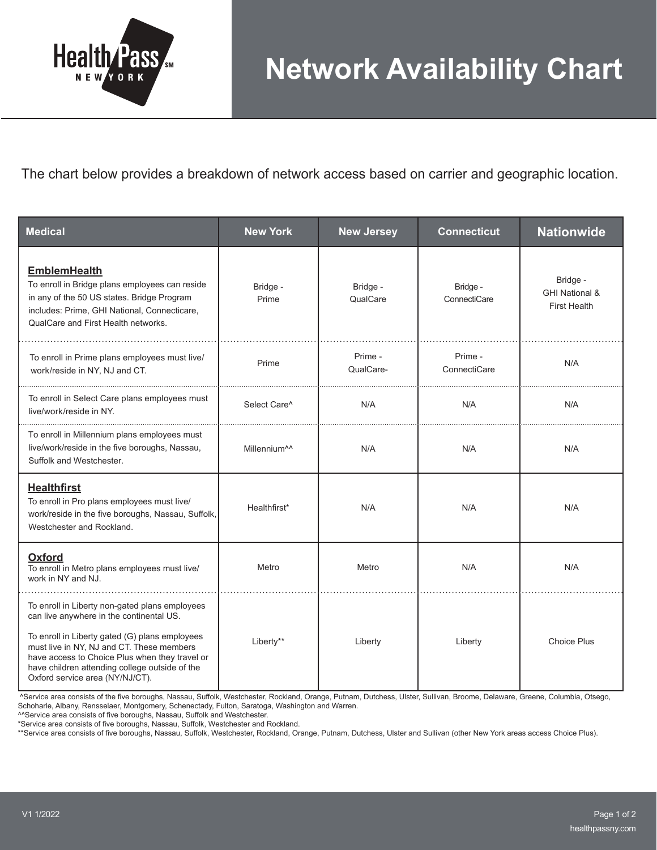

The chart below provides a breakdown of network access based on carrier and geographic location.

| <b>Medical</b>                                                                                                                                                                                                                                                                                                                   | <b>New York</b>          | <b>New Jersey</b>    | <b>Connecticut</b>       | <b>Nationwide</b>                                            |
|----------------------------------------------------------------------------------------------------------------------------------------------------------------------------------------------------------------------------------------------------------------------------------------------------------------------------------|--------------------------|----------------------|--------------------------|--------------------------------------------------------------|
| <b>EmblemHealth</b><br>To enroll in Bridge plans employees can reside<br>in any of the 50 US states. Bridge Program<br>includes: Prime, GHI National, Connecticare,<br>QualCare and First Health networks.                                                                                                                       | Bridge -<br>Prime        | Bridge -<br>QualCare | Bridge -<br>ConnectiCare | Bridge -<br><b>GHI National &amp;</b><br><b>First Health</b> |
| To enroll in Prime plans employees must live/<br>work/reside in NY, NJ and CT.                                                                                                                                                                                                                                                   | Prime                    | Prime -<br>QualCare- | Prime -<br>ConnectiCare  | N/A                                                          |
| To enroll in Select Care plans employees must<br>live/work/reside in NY.                                                                                                                                                                                                                                                         | Select Care <sup>^</sup> | N/A                  | N/A                      | N/A                                                          |
| To enroll in Millennium plans employees must<br>live/work/reside in the five boroughs, Nassau,<br>Suffolk and Westchester.                                                                                                                                                                                                       | Millennium <sup>11</sup> | N/A                  | N/A                      | N/A                                                          |
| <b>Healthfirst</b><br>To enroll in Pro plans employees must live/<br>work/reside in the five boroughs, Nassau, Suffolk,<br>Westchester and Rockland.                                                                                                                                                                             | Healthfirst*             | N/A                  | N/A                      | N/A                                                          |
| <b>Oxford</b><br>To enroll in Metro plans employees must live/<br>work in NY and NJ.                                                                                                                                                                                                                                             | Metro                    | Metro                | N/A                      | N/A                                                          |
| To enroll in Liberty non-gated plans employees<br>can live anywhere in the continental US.<br>To enroll in Liberty gated (G) plans employees<br>must live in NY, NJ and CT. These members<br>have access to Choice Plus when they travel or<br>have children attending college outside of the<br>Oxford service area (NY/NJ/CT). | Liberty**                | Liberty              | Liberty                  | <b>Choice Plus</b>                                           |

 ^Service area consists of the five boroughs, Nassau, Suffolk, Westchester, Rockland, Orange, Putnam, Dutchess, Ulster, Sullivan, Broome, Delaware, Greene, Columbia, Otsego, Schoharle, Albany, Rensselaer, Montgomery, Schenectady, Fulton, Saratoga, Washington and Warren.

^^Service area consists of five boroughs, Nassau, Suffolk and Westchester.

\*Service area consists of five boroughs, Nassau, Suffolk, Westchester and Rockland.

\*\*Service area consists of five boroughs, Nassau, Suffolk, Westchester, Rockland, Orange, Putnam, Dutchess, Ulster and Sullivan (other New York areas access Choice Plus).